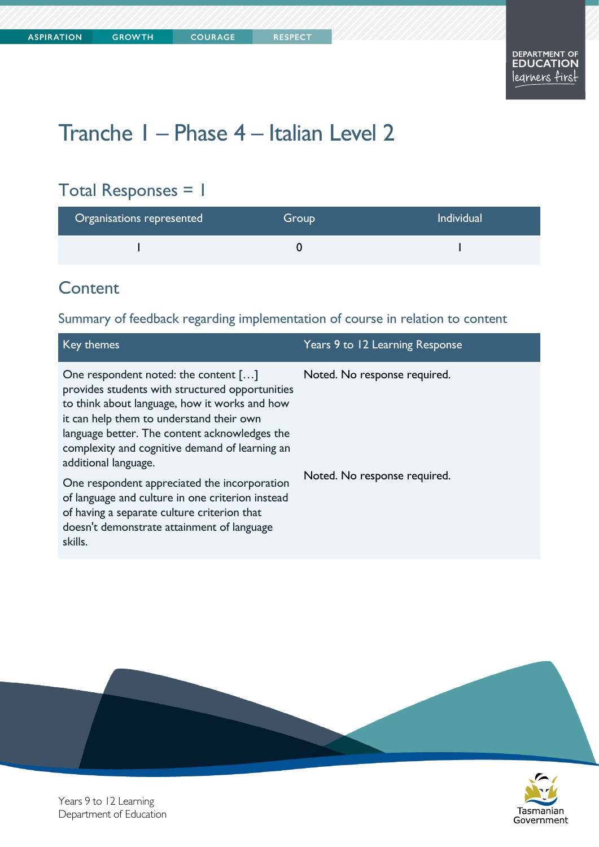# Tranche 1 – Phase 4 – Italian Level 2

**COURAGE** 

## Total Responses = 1

| Organisations represented | Group | <b>Individual</b> |
|---------------------------|-------|-------------------|
|                           |       |                   |

#### **Content**

#### Summary of feedback regarding implementation of course in relation to content

| Key themes                                                                                                                                                                                                                                                                                                      | Years 9 to 12 Learning Response |
|-----------------------------------------------------------------------------------------------------------------------------------------------------------------------------------------------------------------------------------------------------------------------------------------------------------------|---------------------------------|
| One respondent noted: the content []<br>provides students with structured opportunities<br>to think about language, how it works and how<br>it can help them to understand their own<br>language better. The content acknowledges the<br>complexity and cognitive demand of learning an<br>additional language. | Noted. No response required.    |
| One respondent appreciated the incorporation<br>of language and culture in one criterion instead<br>of having a separate culture criterion that<br>doesn't demonstrate attainment of language<br>skills.                                                                                                        | Noted. No response required.    |



Years 9 to 12 Learning Department of Education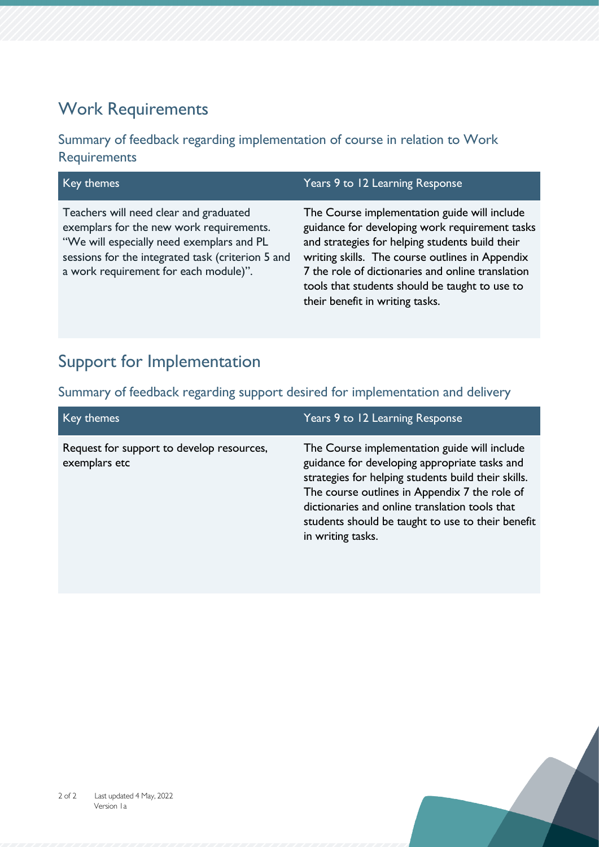### Work Requirements

Summary of feedback regarding implementation of course in relation to Work **Requirements** 

| Key themes                                                                                                                                                                                                                    | Years 9 to 12 Learning Response                                                                                                                                                                                                                                                                                                                |
|-------------------------------------------------------------------------------------------------------------------------------------------------------------------------------------------------------------------------------|------------------------------------------------------------------------------------------------------------------------------------------------------------------------------------------------------------------------------------------------------------------------------------------------------------------------------------------------|
| Teachers will need clear and graduated<br>exemplars for the new work requirements.<br>"We will especially need exemplars and PL<br>sessions for the integrated task (criterion 5 and<br>a work requirement for each module)". | The Course implementation guide will include<br>guidance for developing work requirement tasks<br>and strategies for helping students build their<br>writing skills. The course outlines in Appendix<br>7 the role of dictionaries and online translation<br>tools that students should be taught to use to<br>their benefit in writing tasks. |

## Support for Implementation

Summary of feedback regarding support desired for implementation and delivery

| Key themes                                                 | Years 9 to 12 Learning Response                                                                                                                                                                                                                                                                                                   |
|------------------------------------------------------------|-----------------------------------------------------------------------------------------------------------------------------------------------------------------------------------------------------------------------------------------------------------------------------------------------------------------------------------|
| Request for support to develop resources,<br>exemplars etc | The Course implementation guide will include<br>guidance for developing appropriate tasks and<br>strategies for helping students build their skills.<br>The course outlines in Appendix 7 the role of<br>dictionaries and online translation tools that<br>students should be taught to use to their benefit<br>in writing tasks. |